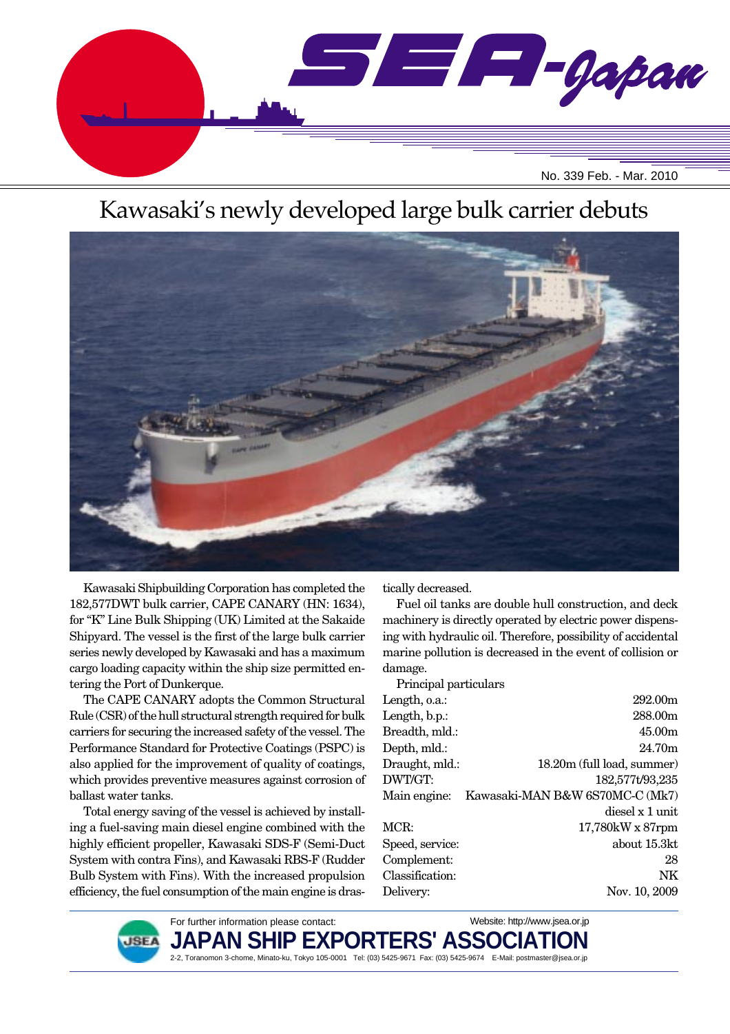

# Kawasaki's newly developed large bulk carrier debuts



2-2, Toranomon 3-chome, Minato-ku, Tokyo 105-0001 Tel: (03) 5425-9671 Fax: (03) 5425-9674 E-Mail: postmaster@jsea.or.jp

Kawasaki Shipbuilding Corporation has completed the 182,577DWT bulk carrier, CAPE CANARY (HN: 1634), for "K" Line Bulk Shipping (UK) Limited at the Sakaide Shipyard. The vessel is the first of the large bulk carrier series newly developed by Kawasaki and has a maximum cargo loading capacity within the ship size permitted entering the Port of Dunkerque.

The CAPE CANARY adopts the Common Structural Rule (CSR) of the hull structural strength required for bulk carriers for securing the increased safety of the vessel. The Performance Standard for Protective Coatings (PSPC) is also applied for the improvement of quality of coatings, which provides preventive measures against corrosion of ballast water tanks.

Total energy saving of the vessel is achieved by installing a fuel-saving main diesel engine combined with the highly efficient propeller, Kawasaki SDS-F (Semi-Duct System with contra Fins), and Kawasaki RBS-F (Rudder Bulb System with Fins). With the increased propulsion efficiency, the fuel consumption of the main engine is dras-

> For further information please contact: **PAN SH**

tically decreased.

Fuel oil tanks are double hull construction, and deck machinery is directly operated by electric power dispensing with hydraulic oil. Therefore, possibility of accidental marine pollution is decreased in the event of collision or damage.

Principal particulars Length, o.a.: 292.00m Length, b.p.: 288.00m Breadth, mld.: 45.00m Depth, mld.: 24.70m Draught, mld.: 18.20m (full load, summer) DWT/GT: 182,577t/93,235 Main engine: Kawasaki-MAN B&W 6S70MC-C (Mk7) diesel x 1 unit MCR: 17,780kW x 87rpm Speed, service: about 15.3kt Complement: 28 Classification: NK Delivery: Nov. 10, 2009

**ISE** 

Website: http://www.jsea.or.jp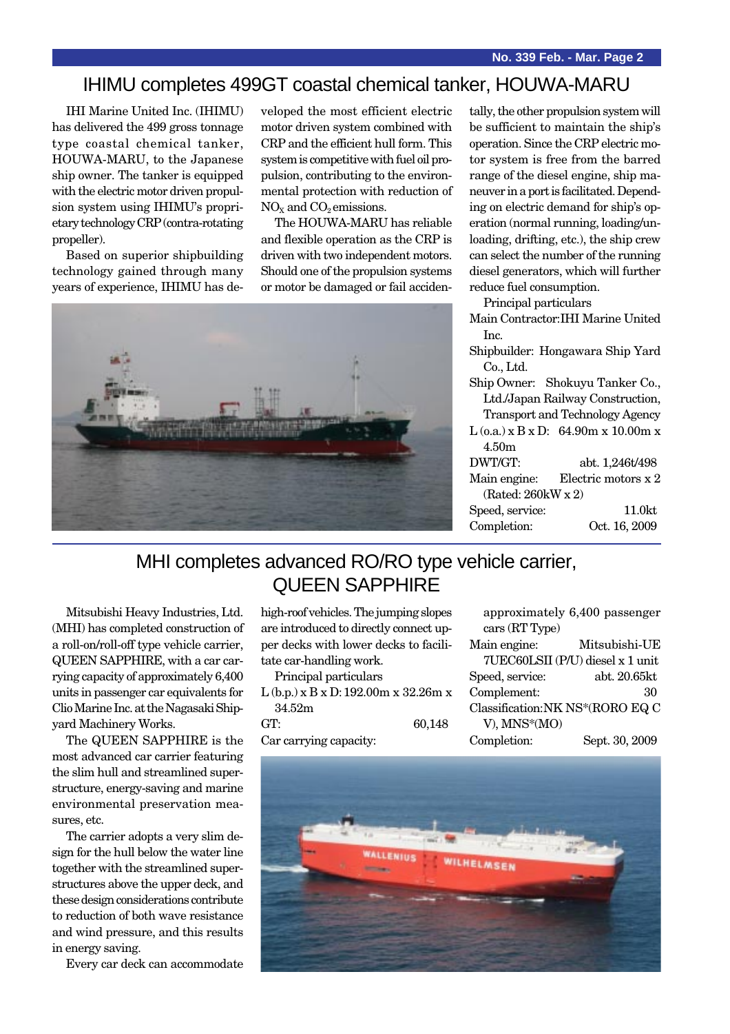### IHIMU completes 499GT coastal chemical tanker, HOUWA-MARU

IHI Marine United Inc. (IHIMU) has delivered the 499 gross tonnage type coastal chemical tanker, HOUWA-MARU, to the Japanese ship owner. The tanker is equipped with the electric motor driven propulsion system using IHIMU's proprietary technology CRP (contra-rotating propeller).

Based on superior shipbuilding technology gained through many years of experience, IHIMU has developed the most efficient electric motor driven system combined with CRP and the efficient hull form. This system is competitive with fuel oil propulsion, contributing to the environmental protection with reduction of  $NO<sub>x</sub>$  and  $CO<sub>2</sub>$  emissions.

The HOUWA-MARU has reliable and flexible operation as the CRP is driven with two independent motors. Should one of the propulsion systems or motor be damaged or fail acciden-



tally, the other propulsion system will be sufficient to maintain the ship's operation. Since the CRP electric motor system is free from the barred range of the diesel engine, ship maneuver in a port is facilitated. Depending on electric demand for ship's operation (normal running, loading/unloading, drifting, etc.), the ship crew can select the number of the running diesel generators, which will further reduce fuel consumption.

Principal particulars

- Main Contractor:IHI Marine United Inc.
- Shipbuilder: Hongawara Ship Yard Co., Ltd.
- Ship Owner: Shokuyu Tanker Co., Ltd./Japan Railway Construction, Transport and Technology Agency

|                       | $L$ (o.a.) x B x D: 64.90m x 10.00m x |  |
|-----------------------|---------------------------------------|--|
| 4.50m                 |                                       |  |
| DWT/GT:               | abt. 1,246t/498                       |  |
| Main engine:          | Electric motors x 2                   |  |
| (Rated: $260$ kW x 2) |                                       |  |
| Speed, service:       | 11.0 <sub>kt</sub>                    |  |
| Completion:           | Oct. 16, 2009                         |  |

### MHI completes advanced RO/RO type vehicle carrier, QUEEN SAPPHIRE

Mitsubishi Heavy Industries, Ltd. (MHI) has completed construction of a roll-on/roll-off type vehicle carrier, QUEEN SAPPHIRE, with a car carrying capacity of approximately 6,400 units in passenger car equivalents for Clio Marine Inc. at the Nagasaki Shipyard Machinery Works.

The QUEEN SAPPHIRE is the most advanced car carrier featuring the slim hull and streamlined superstructure, energy-saving and marine environmental preservation measures, etc.

The carrier adopts a very slim design for the hull below the water line together with the streamlined superstructures above the upper deck, and these design considerations contribute to reduction of both wave resistance and wind pressure, and this results in energy saving.

Every car deck can accommodate

high-roof vehicles. The jumping slopes are introduced to directly connect upper decks with lower decks to facilitate car-handling work.

Principal particulars L (b.p.) x B x D:192.00m x 32.26m x 34.52m GT: 60,148 Car carrying capacity:

|                                 | approximately 6,400 passenger    |
|---------------------------------|----------------------------------|
| cars (RT Type)                  |                                  |
| Main engine:                    | Mitsubishi-UE                    |
|                                 | 7UEC60LSII (P/U) diesel x 1 unit |
| Speed, service:                 | abt. 20.65kt                     |
| Complement:                     | 30                               |
| Classification:NK NS*(RORO EQ C |                                  |
| V), MNS*(MO)                    |                                  |
| Completion:                     | Sept. 30, 2009                   |
|                                 |                                  |

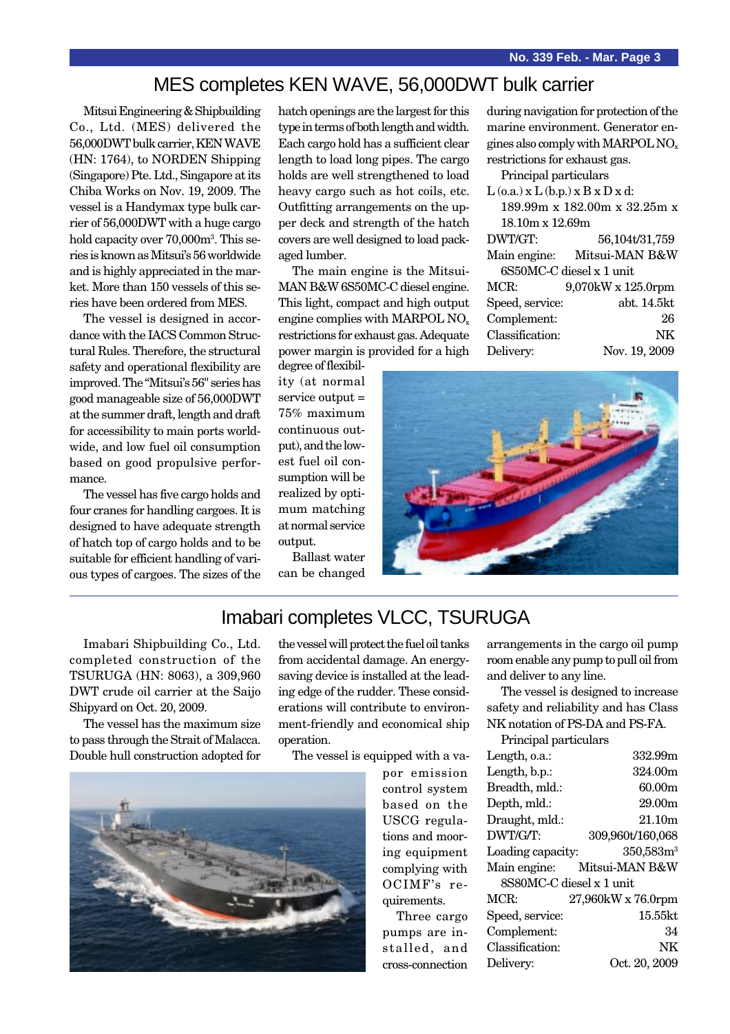#### MES completes KEN WAVE, 56,000DWT bulk carrier

Mitsui Engineering & Shipbuilding Co., Ltd. (MES) delivered the 56,000DWT bulk carrier, KEN WAVE (HN: 1764), to NORDEN Shipping (Singapore) Pte. Ltd., Singapore at its Chiba Works on Nov. 19, 2009. The vessel is a Handymax type bulk carrier of 56,000DWT with a huge cargo hold capacity over 70,000m<sup>3</sup>. This series is known as Mitsui's 56 worldwide and is highly appreciated in the market. More than 150 vessels of this series have been ordered from MES.

The vessel is designed in accordance with the IACS Common Structural Rules. Therefore, the structural safety and operational flexibility are improved. The "Mitsui's 56" series has good manageable size of 56,000DWT at the summer draft, length and draft for accessibility to main ports worldwide, and low fuel oil consumption based on good propulsive performance.

The vessel has five cargo holds and four cranes for handling cargoes. It is designed to have adequate strength of hatch top of cargo holds and to be suitable for efficient handling of various types of cargoes. The sizes of the hatch openings are the largest for this type in terms of both length and width. Each cargo hold has a sufficient clear length to load long pipes. The cargo holds are well strengthened to load heavy cargo such as hot coils, etc. Outfitting arrangements on the upper deck and strength of the hatch covers are well designed to load packaged lumber.

The main engine is the Mitsui-MAN B&W 6S50MC-C diesel engine. This light, compact and high output engine complies with MARPOL NO<sub>x</sub> restrictions for exhaust gas. Adequate power margin is provided for a high

degree of flexibility (at normal service output = 75% maximum continuous output), and the lowest fuel oil consumption will be realized by optimum matching at normal service output.

Ballast water can be changed during navigation for protection of the marine environment. Generator engines also comply with MARPOL NOx restrictions for exhaust gas.

Principal particulars  $L(\lambda, T(\lambda), D, D)$ 

| $L(0.a.)$ x $L(0.p.)$ x B x D x d: |  |  |
|------------------------------------|--|--|
| 189.99m x 182.00m x 32.25m x       |  |  |
| $18.10m \times 12.69m$             |  |  |
| 56,104t/31,759                     |  |  |
| Main engine: Mitsui-MAN B&W        |  |  |
| 6S50MC-C diesel x 1 unit           |  |  |
| 9,070kW x 125.0rpm                 |  |  |
| abt. 14.5kt                        |  |  |
| 26                                 |  |  |
| NK                                 |  |  |
| Nov. 19, 2009                      |  |  |
|                                    |  |  |



### Imabari completes VLCC, TSURUGA

Imabari Shipbuilding Co., Ltd. completed construction of the TSURUGA (HN: 8063), a 309,960 DWT crude oil carrier at the Saijo Shipyard on Oct. 20, 2009.

The vessel has the maximum size to pass through the Strait of Malacca. Double hull construction adopted for the vessel will protect the fuel oil tanks from accidental damage. An energysaving device is installed at the leading edge of the rudder. These considerations will contribute to environment-friendly and economical ship operation.

The vessel is equipped with a va-



por emission control system based on the USCG regulations and mooring equipment complying with OCIMF's requirements.

Three cargo pumps are installed, and cross-connection

arrangements in the cargo oil pump room enable any pump to pull oil from and deliver to any line.

The vessel is designed to increase safety and reliability and has Class NK notation of PS-DA and PS-FA. Principal particulars

| τ τιπειραι ρατασαπο      |                             |  |
|--------------------------|-----------------------------|--|
| Length, o.a.:            | 332.99m                     |  |
| Length, b.p.:            | 324.00m                     |  |
| Breadth, mld.:           | 60.00 <sub>m</sub>          |  |
| Depth, mld.:             | 29.00m                      |  |
| Draught, mld.:           | 21.10m                      |  |
| DWT/G/T:                 | 309,960t/160,068            |  |
| Loading capacity:        | 350,583m <sup>3</sup>       |  |
|                          | Main engine: Mitsui-MAN B&W |  |
| 8S80MC-C diesel x 1 unit |                             |  |
| MCR:                     | 27,960kW x 76.0rpm          |  |
| Speed, service:          | $15.55$ kt                  |  |
| Complement:              | 34                          |  |
| Classification:          | NK                          |  |
| Delivery:                | Oct. 20, 2009               |  |
|                          |                             |  |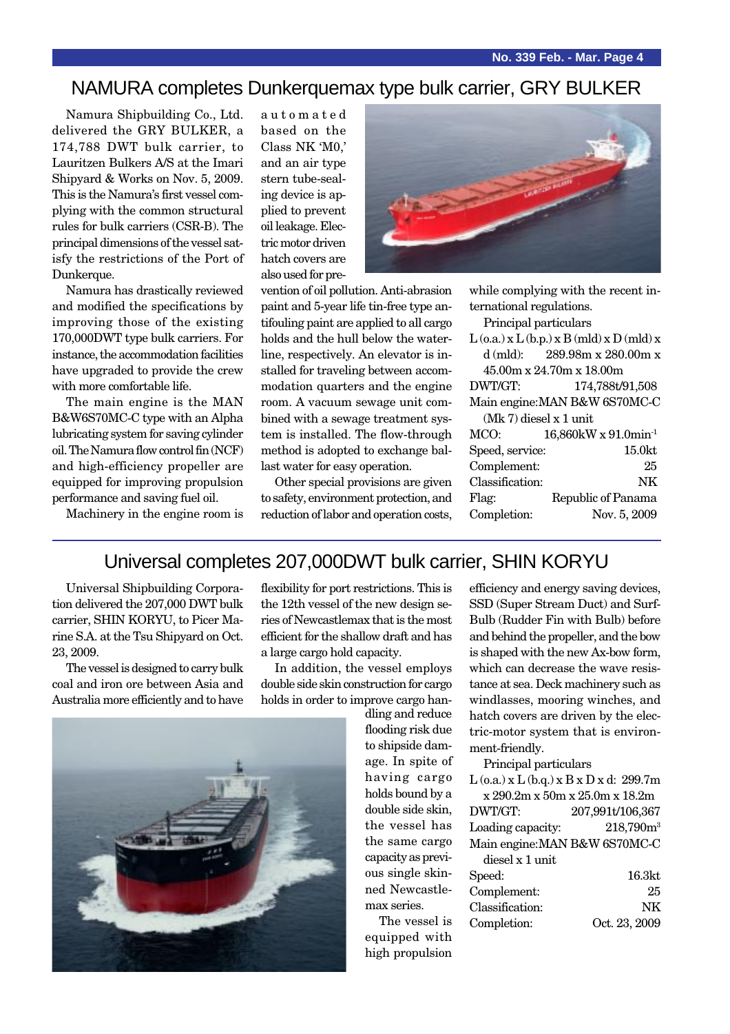#### NAMURA completes Dunkerquemax type bulk carrier, GRY BULKER

Namura Shipbuilding Co., Ltd. delivered the GRY BULKER, a 174,788 DWT bulk carrier, to Lauritzen Bulkers A/S at the Imari Shipyard & Works on Nov. 5, 2009. This is the Namura's first vessel complying with the common structural rules for bulk carriers (CSR-B). The principal dimensions of the vessel satisfy the restrictions of the Port of Dunkerque.

Namura has drastically reviewed and modified the specifications by improving those of the existing 170,000DWT type bulk carriers. For instance, the accommodation facilities have upgraded to provide the crew with more comfortable life.

The main engine is the MAN B&W6S70MC-C type with an Alpha lubricating system for saving cylinder oil. The Namura flow control fin (NCF) and high-efficiency propeller are equipped for improving propulsion performance and saving fuel oil.

Machinery in the engine room is

automated based on the Class NK 'M0,' and an air type stern tube-sealing device is applied to prevent oil leakage. Electric motor driven hatch covers are also used for pre-



vention of oil pollution. Anti-abrasion paint and 5-year life tin-free type antifouling paint are applied to all cargo holds and the hull below the waterline, respectively. An elevator is installed for traveling between accommodation quarters and the engine room. A vacuum sewage unit combined with a sewage treatment system is installed. The flow-through method is adopted to exchange ballast water for easy operation.

Other special provisions are given to safety, environment protection, and reduction of labor and operation costs, while complying with the recent international regulations.

Principal particulars  $L(\rho_0)$  x  $L(\mathbf{h}_p)$  x  $R(\mathbf{m}|\mathbf{d})$  x  $D(\mathbf{m}|\mathbf{d})$  x

|                          | $L(0,d.)$ $X L(0,p.)$ $X D(1110J)$ $X D(1110J)$ $X$ |  |
|--------------------------|-----------------------------------------------------|--|
|                          | d (mld): $289.98m \times 280.00m \times$            |  |
|                          | 45.00m x 24.70m x 18.00m                            |  |
| DWT/GT:                  | 174,788t/91,508                                     |  |
|                          | Main engine: MAN B&W 6S70MC-C                       |  |
| $(Mk 7)$ diesel x 1 unit |                                                     |  |
| MCO:                     | 16,860kW x 91.0min <sup>-1</sup>                    |  |
| Speed, service:          | 15.0 <sub>kt</sub>                                  |  |
| Complement:              | 25                                                  |  |
| Classification:          | NΚ                                                  |  |
| Flag:                    | Republic of Panama                                  |  |
| Completion:              | Nov. 5, 2009                                        |  |

#### Universal completes 207,000DWT bulk carrier, SHIN KORYU

Universal Shipbuilding Corporation delivered the 207,000 DWT bulk carrier, SHIN KORYU, to Picer Marine S.A. at the Tsu Shipyard on Oct. 23, 2009.

The vessel is designed to carry bulk coal and iron ore between Asia and Australia more efficiently and to have



flexibility for port restrictions. This is the 12th vessel of the new design series of Newcastlemax that is the most efficient for the shallow draft and has a large cargo hold capacity.

In addition, the vessel employs double side skin construction for cargo holds in order to improve cargo han-

> dling and reduce flooding risk due to shipside damage. In spite of having cargo holds bound by a double side skin, the vessel has the same cargo capacity as previous single skinned Newcastlemax series.

The vessel is equipped with high propulsion

efficiency and energy saving devices, SSD (Super Stream Duct) and Surf-Bulb (Rudder Fin with Bulb) before and behind the propeller, and the bow is shaped with the new Ax-bow form, which can decrease the wave resistance at sea. Deck machinery such as windlasses, mooring winches, and hatch covers are driven by the electric-motor system that is environment-friendly.

Principal particulars

| $L$ (o.a.) x $L$ (b.q.) x $B$ x $D$ x d: 299.7m |                                |
|-------------------------------------------------|--------------------------------|
|                                                 | x 290.2m x 50m x 25.0m x 18.2m |
| DWT/GT:                                         | 207,991t/106,367               |
| Loading capacity:                               | 218,790m <sup>3</sup>          |
| Main engine: MAN B&W 6S70MC-C                   |                                |
| diesel x 1 unit                                 |                                |
| Speed:                                          | 16.3kt                         |
| Complement:                                     | 25                             |
| Classification:                                 | NK                             |
| Completion:                                     | Oct. 23, 2009                  |
|                                                 |                                |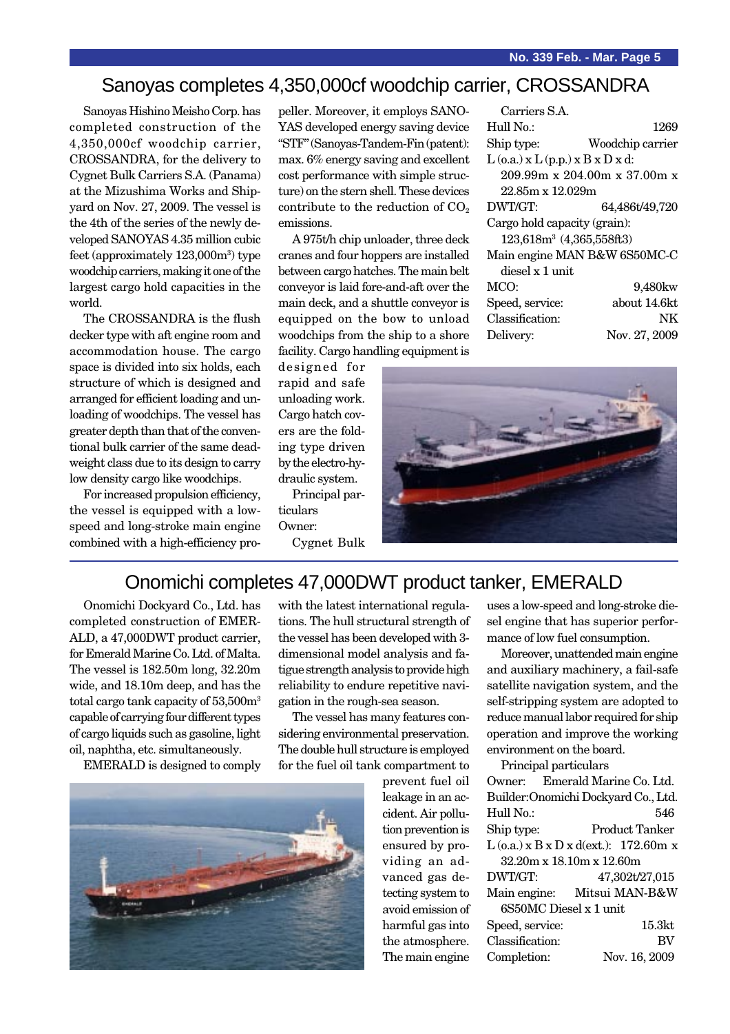#### Sanoyas completes 4,350,000cf woodchip carrier, CROSSANDRA

Sanoyas Hishino Meisho Corp. has completed construction of the 4,350,000cf woodchip carrier, CROSSANDRA, for the delivery to Cygnet Bulk Carriers S.A. (Panama) at the Mizushima Works and Shipyard on Nov. 27, 2009. The vessel is the 4th of the series of the newly developed SANOYAS 4.35 million cubic feet (approximately 123,000m<sup>3</sup>) type woodchip carriers, making it one of the largest cargo hold capacities in the world.

The CROSSANDRA is the flush decker type with aft engine room and accommodation house. The cargo space is divided into six holds, each structure of which is designed and arranged for efficient loading and unloading of woodchips. The vessel has greater depth than that of the conventional bulk carrier of the same deadweight class due to its design to carry low density cargo like woodchips.

For increased propulsion efficiency, the vessel is equipped with a lowspeed and long-stroke main engine combined with a high-efficiency propeller. Moreover, it employs SANO-YAS developed energy saving device "STF" (Sanoyas-Tandem-Fin (patent): max. 6% energy saving and excellent cost performance with simple structure) on the stern shell. These devices contribute to the reduction of  $CO<sub>2</sub>$ emissions.

A 975t/h chip unloader, three deck cranes and four hoppers are installed between cargo hatches. The main belt conveyor is laid fore-and-aft over the main deck, and a shuttle conveyor is equipped on the bow to unload woodchips from the ship to a shore facility. Cargo handling equipment is

Carriers S.A. Hull No.: 1269 Ship type: Woodchip carrier  $L$  (o.a.)  $x L$  (p.p.)  $x B x D x d$ : 209.99m x 204.00m x 37.00m x 22.85m x 12.029m DWT/GT: 64,486t/49,720 Cargo hold capacity (grain): 123,618m3 (4,365,558ft3) Main engine MAN B&W 6S50MC-C diesel x 1 unit MCO: 9,480kw Speed, service: about 14.6kt Classification: NK

Delivery: Nov. 27, 2009

designed for rapid and safe unloading work. Cargo hatch covers are the folding type driven by the electro-hydraulic system.

Principal particulars Owner: Cygnet Bulk



#### Onomichi completes 47,000DWT product tanker, EMERALD

Onomichi Dockyard Co., Ltd. has completed construction of EMER-ALD, a 47,000DWT product carrier, for Emerald Marine Co. Ltd. of Malta. The vessel is 182.50m long, 32.20m wide, and 18.10m deep, and has the total cargo tank capacity of 53,500m<sup>3</sup> capable of carrying four different types of cargo liquids such as gasoline, light oil, naphtha, etc. simultaneously.

EMERALD is designed to comply

with the latest international regulations. The hull structural strength of the vessel has been developed with 3 dimensional model analysis and fatigue strength analysis to provide high reliability to endure repetitive navigation in the rough-sea season.

The vessel has many features considering environmental preservation. The double hull structure is employed for the fuel oil tank compartment to

> prevent fuel oil leakage in an accident. Air pollution prevention is ensured by providing an advanced gas detecting system to avoid emission of harmful gas into the atmosphere. The main engine

uses a low-speed and long-stroke diesel engine that has superior performance of low fuel consumption.

Moreover, unattended main engine and auxiliary machinery, a fail-safe satellite navigation system, and the self-stripping system are adopted to reduce manual labor required for ship operation and improve the working environment on the board.

Principal particulars Owner: Emerald Marine Co. Ltd. Builder:Onomichi Dockyard Co., Ltd. Hull No.: 546 Ship type: Product Tanker  $L$  (o.a.) x  $B$  x  $D$  x d(ext.): 172.60m x 32.20m x 18.10m x 12.60m DWT/GT: 47,302t/27,015 Main engine: Mitsui MAN-B&W 6S50MC Diesel x 1 unit Speed, service: 15.3kt Classification: BV Completion: Nov. 16, 2009